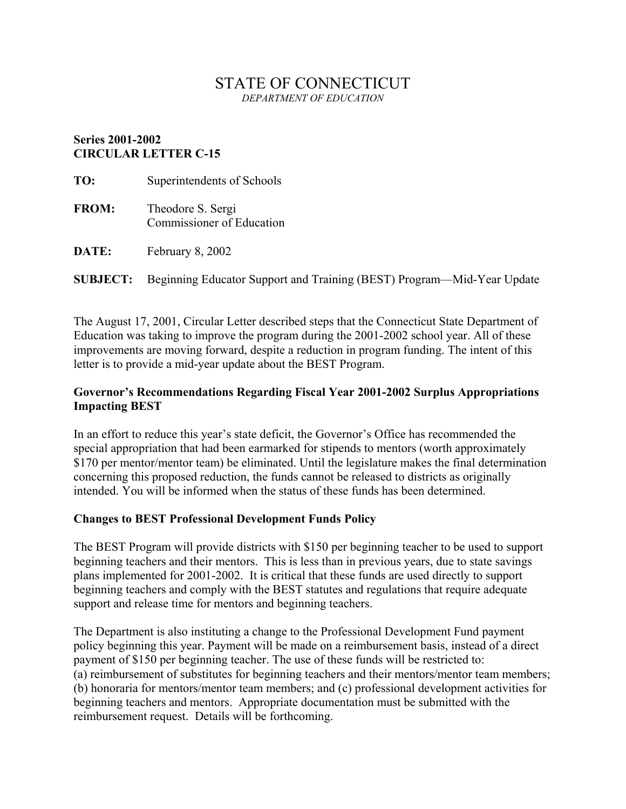# STATE OF CONNECTICUT *DEPARTMENT OF EDUCATION*

## **Series 2001-2002 CIRCULAR LETTER C-15**

| TO:          | Superintendents of Schools                     |
|--------------|------------------------------------------------|
| <b>FROM:</b> | Theodore S. Sergi<br>Commissioner of Education |
| <b>DATE:</b> | February 8, 2002                               |

**SUBJECT:** Beginning Educator Support and Training (BEST) Program—Mid-Year Update

The August 17, 2001, Circular Letter described steps that the Connecticut State Department of Education was taking to improve the program during the 2001-2002 school year. All of these improvements are moving forward, despite a reduction in program funding. The intent of this letter is to provide a mid-year update about the BEST Program.

# **Governor's Recommendations Regarding Fiscal Year 2001-2002 Surplus Appropriations Impacting BEST**

In an effort to reduce this year's state deficit, the Governor's Office has recommended the special appropriation that had been earmarked for stipends to mentors (worth approximately \$170 per mentor/mentor team) be eliminated. Until the legislature makes the final determination concerning this proposed reduction, the funds cannot be released to districts as originally intended. You will be informed when the status of these funds has been determined.

# **Changes to BEST Professional Development Funds Policy**

The BEST Program will provide districts with \$150 per beginning teacher to be used to support beginning teachers and their mentors. This is less than in previous years, due to state savings plans implemented for 2001-2002. It is critical that these funds are used directly to support beginning teachers and comply with the BEST statutes and regulations that require adequate support and release time for mentors and beginning teachers.

The Department is also instituting a change to the Professional Development Fund payment policy beginning this year. Payment will be made on a reimbursement basis, instead of a direct payment of \$150 per beginning teacher. The use of these funds will be restricted to: (a) reimbursement of substitutes for beginning teachers and their mentors/mentor team members; (b) honoraria for mentors/mentor team members; and (c) professional development activities for beginning teachers and mentors. Appropriate documentation must be submitted with the reimbursement request. Details will be forthcoming.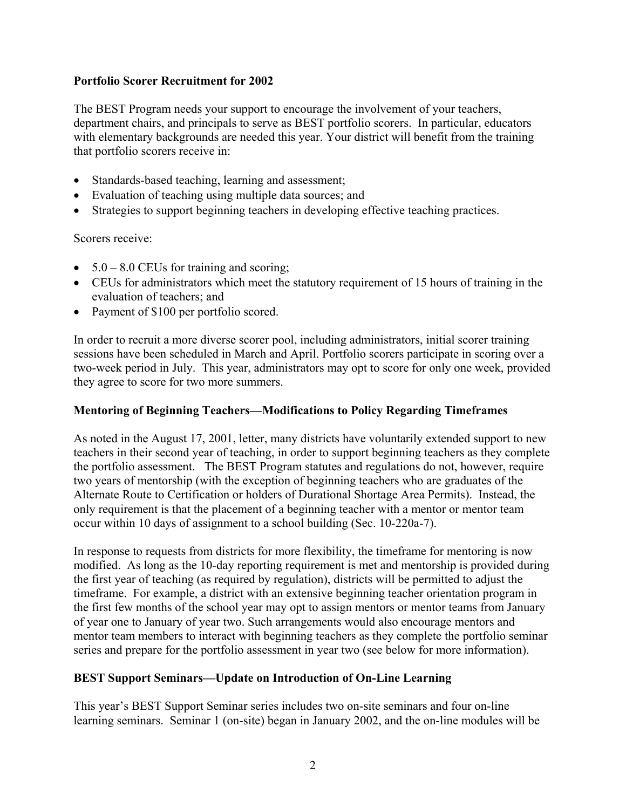## **Portfolio Scorer Recruitment for 2002**

The BEST Program needs your support to encourage the involvement of your teachers, department chairs, and principals to serve as BEST portfolio scorers. In particular, educators with elementary backgrounds are needed this year. Your district will benefit from the training that portfolio scorers receive in:

- Standards-based teaching, learning and assessment;
- Evaluation of teaching using multiple data sources; and
- Strategies to support beginning teachers in developing effective teaching practices.

Scorers receive:

- $5.0 8.0$  CEUs for training and scoring;
- CEUs for administrators which meet the statutory requirement of 15 hours of training in the evaluation of teachers; and
- Payment of \$100 per portfolio scored.

In order to recruit a more diverse scorer pool, including administrators, initial scorer training sessions have been scheduled in March and April. Portfolio scorers participate in scoring over a two-week period in July. This year, administrators may opt to score for only one week, provided they agree to score for two more summers.

#### **Mentoring of Beginning Teachers—Modifications to Policy Regarding Timeframes**

As noted in the August 17, 2001, letter, many districts have voluntarily extended support to new teachers in their second year of teaching, in order to support beginning teachers as they complete the portfolio assessment. The BEST Program statutes and regulations do not, however, require two years of mentorship (with the exception of beginning teachers who are graduates of the Alternate Route to Certification or holders of Durational Shortage Area Permits). Instead, the only requirement is that the placement of a beginning teacher with a mentor or mentor team occur within 10 days of assignment to a school building (Sec. 10-220a-7).

In response to requests from districts for more flexibility, the timeframe for mentoring is now modified. As long as the 10-day reporting requirement is met and mentorship is provided during the first year of teaching (as required by regulation), districts will be permitted to adjust the timeframe. For example, a district with an extensive beginning teacher orientation program in the first few months of the school year may opt to assign mentors or mentor teams from January of year one to January of year two. Such arrangements would also encourage mentors and mentor team members to interact with beginning teachers as they complete the portfolio seminar series and prepare for the portfolio assessment in year two (see below for more information).

#### **BEST Support Seminars—Update on Introduction of On-Line Learning**

This year's BEST Support Seminar series includes two on-site seminars and four on-line learning seminars. Seminar 1 (on-site) began in January 2002, and the on-line modules will be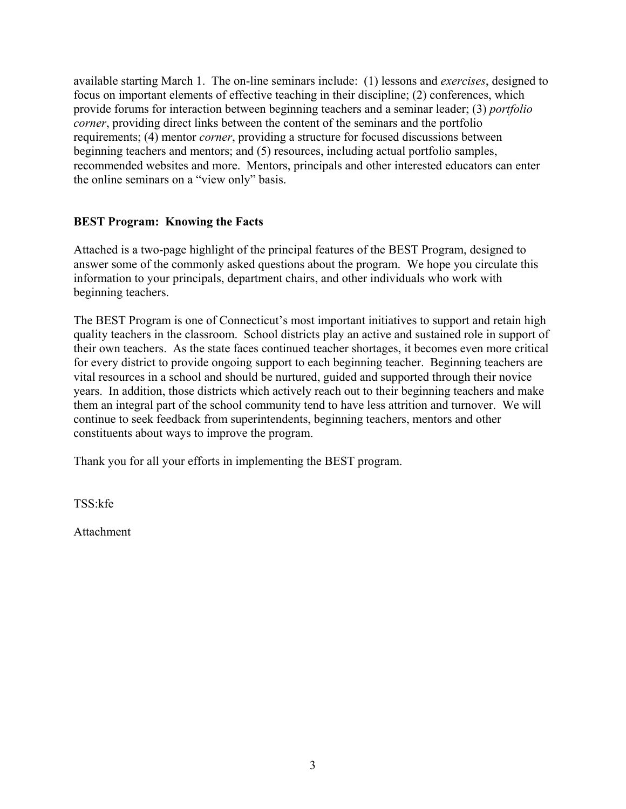available starting March 1. The on-line seminars include: (1) lessons and *exercises*, designed to focus on important elements of effective teaching in their discipline; (2) conferences, which provide forums for interaction between beginning teachers and a seminar leader; (3) *portfolio corner*, providing direct links between the content of the seminars and the portfolio requirements; (4) mentor *corner*, providing a structure for focused discussions between beginning teachers and mentors; and (5) resources, including actual portfolio samples, recommended websites and more. Mentors, principals and other interested educators can enter the online seminars on a "view only" basis.

# **BEST Program: Knowing the Facts**

Attached is a two-page highlight of the principal features of the BEST Program, designed to answer some of the commonly asked questions about the program. We hope you circulate this information to your principals, department chairs, and other individuals who work with beginning teachers.

The BEST Program is one of Connecticut's most important initiatives to support and retain high quality teachers in the classroom. School districts play an active and sustained role in support of their own teachers. As the state faces continued teacher shortages, it becomes even more critical for every district to provide ongoing support to each beginning teacher. Beginning teachers are vital resources in a school and should be nurtured, guided and supported through their novice years. In addition, those districts which actively reach out to their beginning teachers and make them an integral part of the school community tend to have less attrition and turnover. We will continue to seek feedback from superintendents, beginning teachers, mentors and other constituents about ways to improve the program.

Thank you for all your efforts in implementing the BEST program.

TSS:kfe

Attachment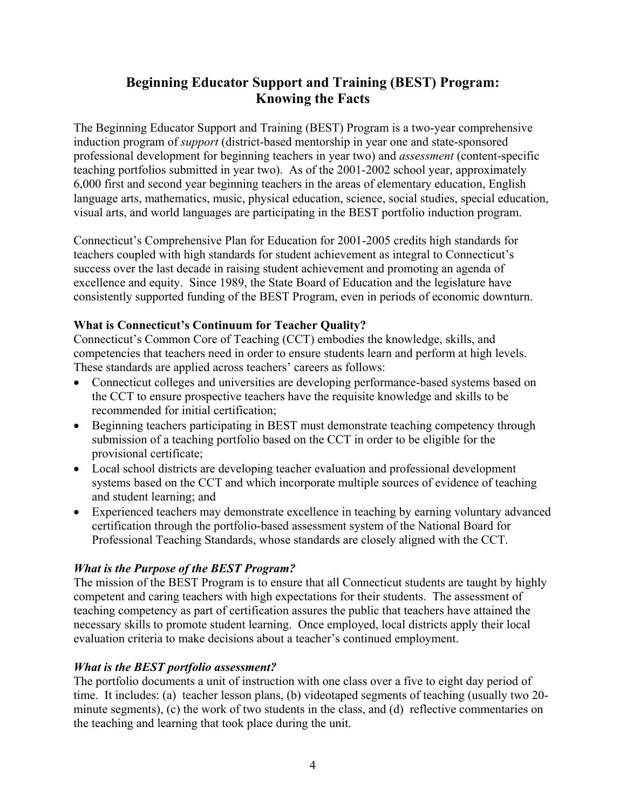# **Beginning Educator Support and Training (BEST) Program: Knowing the Facts**

The Beginning Educator Support and Training (BEST) Program is a two-year comprehensive induction program of *support* (district-based mentorship in year one and state-sponsored professional development for beginning teachers in year two) and *assessment* (content-specific teaching portfolios submitted in year two). As of the 2001-2002 school year, approximately 6,000 first and second year beginning teachers in the areas of elementary education, English language arts, mathematics, music, physical education, science, social studies, special education, visual arts, and world languages are participating in the BEST portfolio induction program.

Connecticut's Comprehensive Plan for Education for 2001-2005 credits high standards for teachers coupled with high standards for student achievement as integral to Connecticut's success over the last decade in raising student achievement and promoting an agenda of excellence and equity. Since 1989, the State Board of Education and the legislature have consistently supported funding of the BEST Program, even in periods of economic downturn.

## **What is Connecticut's Continuum for Teacher Quality?**

Connecticut's Common Core of Teaching (CCT) embodies the knowledge, skills, and competencies that teachers need in order to ensure students learn and perform at high levels. These standards are applied across teachers' careers as follows:

- Connecticut colleges and universities are developing performance-based systems based on the CCT to ensure prospective teachers have the requisite knowledge and skills to be recommended for initial certification;
- Beginning teachers participating in BEST must demonstrate teaching competency through submission of a teaching portfolio based on the CCT in order to be eligible for the provisional certificate;
- Local school districts are developing teacher evaluation and professional development systems based on the CCT and which incorporate multiple sources of evidence of teaching and student learning; and
- Experienced teachers may demonstrate excellence in teaching by earning voluntary advanced certification through the portfolio-based assessment system of the National Board for Professional Teaching Standards, whose standards are closely aligned with the CCT.

# *What is the Purpose of the BEST Program?*

The mission of the BEST Program is to ensure that all Connecticut students are taught by highly competent and caring teachers with high expectations for their students. The assessment of teaching competency as part of certification assures the public that teachers have attained the necessary skills to promote student learning. Once employed, local districts apply their local evaluation criteria to make decisions about a teacher's continued employment.

## *What is the BEST portfolio assessment?*

The portfolio documents a unit of instruction with one class over a five to eight day period of time. It includes: (a) teacher lesson plans, (b) videotaped segments of teaching (usually two 20 minute segments), (c) the work of two students in the class, and (d) reflective commentaries on the teaching and learning that took place during the unit.